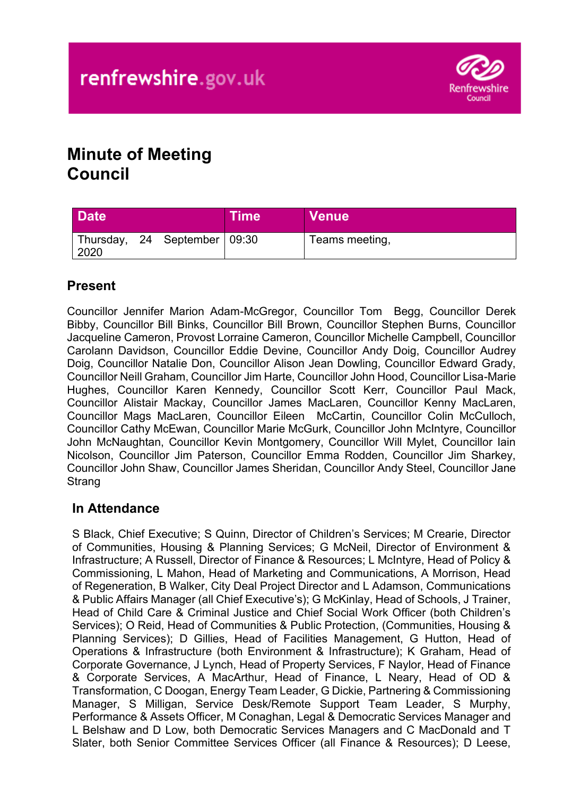

# **Minute of Meeting Council**

| <b>Date</b> |                              | <b>Time</b> | ∣ Venue <sup>⊺</sup> |
|-------------|------------------------------|-------------|----------------------|
| 2020        | Thursday, 24 September 09:30 |             | Teams meeting,       |

# **Present**

Councillor Jennifer Marion Adam-McGregor, Councillor Tom Begg, Councillor Derek Bibby, Councillor Bill Binks, Councillor Bill Brown, Councillor Stephen Burns, Councillor Jacqueline Cameron, Provost Lorraine Cameron, Councillor Michelle Campbell, Councillor Carolann Davidson, Councillor Eddie Devine, Councillor Andy Doig, Councillor Audrey Doig, Councillor Natalie Don, Councillor Alison Jean Dowling, Councillor Edward Grady, Councillor Neill Graham, Councillor Jim Harte, Councillor John Hood, Councillor Lisa-Marie Hughes, Councillor Karen Kennedy, Councillor Scott Kerr, Councillor Paul Mack, Councillor Alistair Mackay, Councillor James MacLaren, Councillor Kenny MacLaren, Councillor Mags MacLaren, Councillor Eileen McCartin, Councillor Colin McCulloch, Councillor Cathy McEwan, Councillor Marie McGurk, Councillor John McIntyre, Councillor John McNaughtan, Councillor Kevin Montgomery, Councillor Will Mylet, Councillor Iain Nicolson, Councillor Jim Paterson, Councillor Emma Rodden, Councillor Jim Sharkey, Councillor John Shaw, Councillor James Sheridan, Councillor Andy Steel, Councillor Jane **Strang** 

# **In Attendance**

S Black, Chief Executive; S Quinn, Director of Children's Services; M Crearie, Director of Communities, Housing & Planning Services; G McNeil, Director of Environment & Infrastructure; A Russell, Director of Finance & Resources; L McIntyre, Head of Policy & Commissioning, L Mahon, Head of Marketing and Communications, A Morrison, Head of Regeneration, B Walker, City Deal Project Director and L Adamson, Communications & Public Affairs Manager (all Chief Executive's); G McKinlay, Head of Schools, J Trainer, Head of Child Care & Criminal Justice and Chief Social Work Officer (both Children's Services); O Reid, Head of Communities & Public Protection, (Communities, Housing & Planning Services); D Gillies, Head of Facilities Management, G Hutton, Head of Operations & Infrastructure (both Environment & Infrastructure); K Graham, Head of Corporate Governance, J Lynch, Head of Property Services, F Naylor, Head of Finance & Corporate Services, A MacArthur, Head of Finance, L Neary, Head of OD & Transformation, C Doogan, Energy Team Leader, G Dickie, Partnering & Commissioning Manager, S Milligan, Service Desk/Remote Support Team Leader, S Murphy, Performance & Assets Officer, M Conaghan, Legal & Democratic Services Manager and L Belshaw and D Low, both Democratic Services Managers and C MacDonald and T Slater, both Senior Committee Services Officer (all Finance & Resources); D Leese,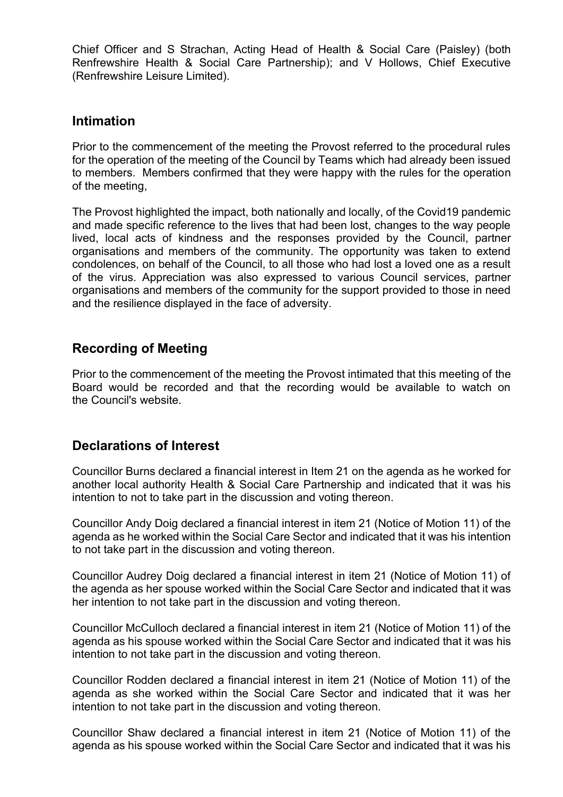Chief Officer and S Strachan, Acting Head of Health & Social Care (Paisley) (both Renfrewshire Health & Social Care Partnership); and V Hollows, Chief Executive (Renfrewshire Leisure Limited).

### **Intimation**

Prior to the commencement of the meeting the Provost referred to the procedural rules for the operation of the meeting of the Council by Teams which had already been issued to members. Members confirmed that they were happy with the rules for the operation of the meeting,

The Provost highlighted the impact, both nationally and locally, of the Covid19 pandemic and made specific reference to the lives that had been lost, changes to the way people lived, local acts of kindness and the responses provided by the Council, partner organisations and members of the community. The opportunity was taken to extend condolences, on behalf of the Council, to all those who had lost a loved one as a result of the virus. Appreciation was also expressed to various Council services, partner organisations and members of the community for the support provided to those in need and the resilience displayed in the face of adversity.

# **Recording of Meeting**

Prior to the commencement of the meeting the Provost intimated that this meeting of the Board would be recorded and that the recording would be available to watch on the Council's website.

### **Declarations of Interest**

Councillor Burns declared a financial interest in Item 21 on the agenda as he worked for another local authority Health & Social Care Partnership and indicated that it was his intention to not to take part in the discussion and voting thereon.

Councillor Andy Doig declared a financial interest in item 21 (Notice of Motion 11) of the agenda as he worked within the Social Care Sector and indicated that it was his intention to not take part in the discussion and voting thereon.

Councillor Audrey Doig declared a financial interest in item 21 (Notice of Motion 11) of the agenda as her spouse worked within the Social Care Sector and indicated that it was her intention to not take part in the discussion and voting thereon.

Councillor McCulloch declared a financial interest in item 21 (Notice of Motion 11) of the agenda as his spouse worked within the Social Care Sector and indicated that it was his intention to not take part in the discussion and voting thereon.

Councillor Rodden declared a financial interest in item 21 (Notice of Motion 11) of the agenda as she worked within the Social Care Sector and indicated that it was her intention to not take part in the discussion and voting thereon.

Councillor Shaw declared a financial interest in item 21 (Notice of Motion 11) of the agenda as his spouse worked within the Social Care Sector and indicated that it was his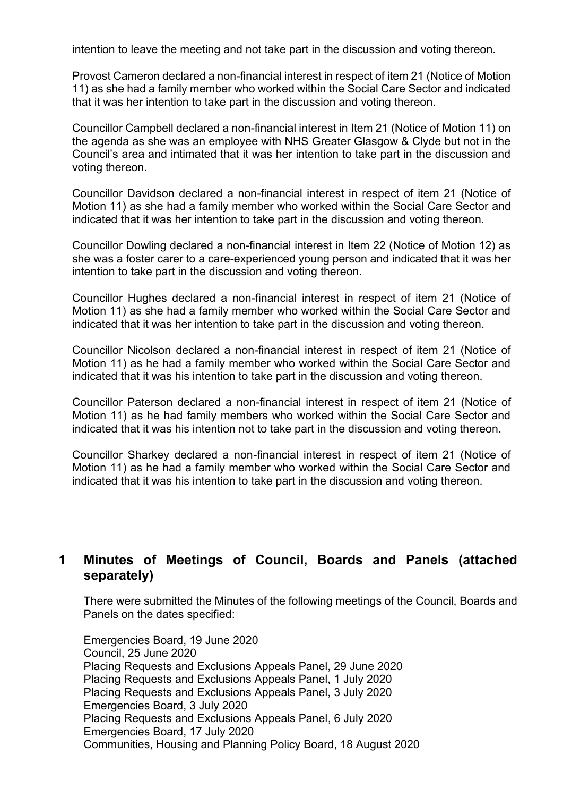intention to leave the meeting and not take part in the discussion and voting thereon.

Provost Cameron declared a non-financial interest in respect of item 21 (Notice of Motion 11) as she had a family member who worked within the Social Care Sector and indicated that it was her intention to take part in the discussion and voting thereon.

Councillor Campbell declared a non-financial interest in Item 21 (Notice of Motion 11) on the agenda as she was an employee with NHS Greater Glasgow & Clyde but not in the Council's area and intimated that it was her intention to take part in the discussion and voting thereon.

Councillor Davidson declared a non-financial interest in respect of item 21 (Notice of Motion 11) as she had a family member who worked within the Social Care Sector and indicated that it was her intention to take part in the discussion and voting thereon.

Councillor Dowling declared a non-financial interest in Item 22 (Notice of Motion 12) as she was a foster carer to a care-experienced young person and indicated that it was her intention to take part in the discussion and voting thereon.

Councillor Hughes declared a non-financial interest in respect of item 21 (Notice of Motion 11) as she had a family member who worked within the Social Care Sector and indicated that it was her intention to take part in the discussion and voting thereon.

Councillor Nicolson declared a non-financial interest in respect of item 21 (Notice of Motion 11) as he had a family member who worked within the Social Care Sector and indicated that it was his intention to take part in the discussion and voting thereon.

Councillor Paterson declared a non-financial interest in respect of item 21 (Notice of Motion 11) as he had family members who worked within the Social Care Sector and indicated that it was his intention not to take part in the discussion and voting thereon.

Councillor Sharkey declared a non-financial interest in respect of item 21 (Notice of Motion 11) as he had a family member who worked within the Social Care Sector and indicated that it was his intention to take part in the discussion and voting thereon.

# **1 Minutes of Meetings of Council, Boards and Panels (attached separately)**

There were submitted the Minutes of the following meetings of the Council, Boards and Panels on the dates specified:

Emergencies Board, 19 June 2020 Council, 25 June 2020 Placing Requests and Exclusions Appeals Panel, 29 June 2020 Placing Requests and Exclusions Appeals Panel, 1 July 2020 Placing Requests and Exclusions Appeals Panel, 3 July 2020 Emergencies Board, 3 July 2020 Placing Requests and Exclusions Appeals Panel, 6 July 2020 Emergencies Board, 17 July 2020 Communities, Housing and Planning Policy Board, 18 August 2020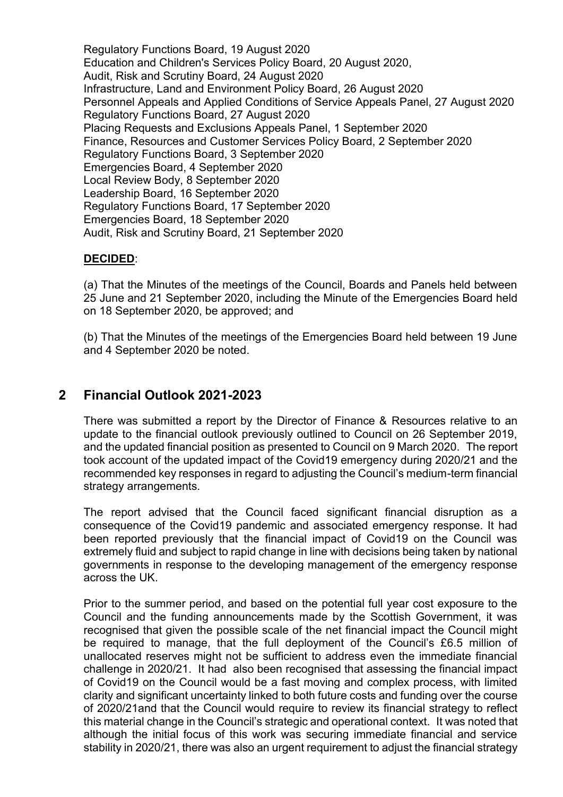Regulatory Functions Board, 19 August 2020 Education and Children's Services Policy Board, 20 August 2020, Audit, Risk and Scrutiny Board, 24 August 2020 Infrastructure, Land and Environment Policy Board, 26 August 2020 Personnel Appeals and Applied Conditions of Service Appeals Panel, 27 August 2020 Regulatory Functions Board, 27 August 2020 Placing Requests and Exclusions Appeals Panel, 1 September 2020 Finance, Resources and Customer Services Policy Board, 2 September 2020 Regulatory Functions Board, 3 September 2020 Emergencies Board, 4 September 2020 Local Review Body, 8 September 2020 Leadership Board, 16 September 2020 Regulatory Functions Board, 17 September 2020 Emergencies Board, 18 September 2020 Audit, Risk and Scrutiny Board, 21 September 2020

### **DECIDED**:

(a) That the Minutes of the meetings of the Council, Boards and Panels held between 25 June and 21 September 2020, including the Minute of the Emergencies Board held on 18 September 2020, be approved; and

(b) That the Minutes of the meetings of the Emergencies Board held between 19 June and 4 September 2020 be noted.

### **2 Financial Outlook 2021-2023**

There was submitted a report by the Director of Finance & Resources relative to an update to the financial outlook previously outlined to Council on 26 September 2019, and the updated financial position as presented to Council on 9 March 2020. The report took account of the updated impact of the Covid19 emergency during 2020/21 and the recommended key responses in regard to adjusting the Council's medium-term financial strategy arrangements.

The report advised that the Council faced significant financial disruption as a consequence of the Covid19 pandemic and associated emergency response. It had been reported previously that the financial impact of Covid19 on the Council was extremely fluid and subject to rapid change in line with decisions being taken by national governments in response to the developing management of the emergency response across the UK.

Prior to the summer period, and based on the potential full year cost exposure to the Council and the funding announcements made by the Scottish Government, it was recognised that given the possible scale of the net financial impact the Council might be required to manage, that the full deployment of the Council's £6.5 million of unallocated reserves might not be sufficient to address even the immediate financial challenge in 2020/21. It had also been recognised that assessing the financial impact of Covid19 on the Council would be a fast moving and complex process, with limited clarity and significant uncertainty linked to both future costs and funding over the course of 2020/21and that the Council would require to review its financial strategy to reflect this material change in the Council's strategic and operational context. It was noted that although the initial focus of this work was securing immediate financial and service stability in 2020/21, there was also an urgent requirement to adjust the financial strategy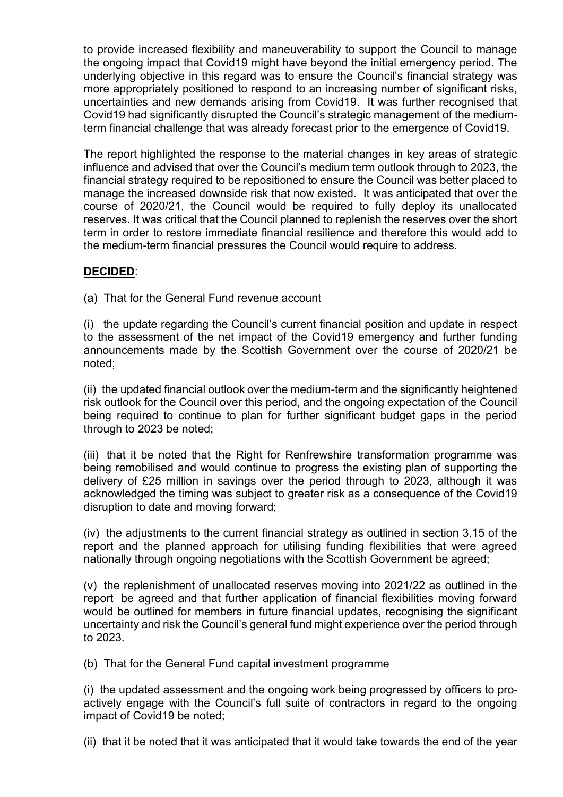to provide increased flexibility and maneuverability to support the Council to manage the ongoing impact that Covid19 might have beyond the initial emergency period. The underlying objective in this regard was to ensure the Council's financial strategy was more appropriately positioned to respond to an increasing number of significant risks, uncertainties and new demands arising from Covid19. It was further recognised that Covid19 had significantly disrupted the Council's strategic management of the mediumterm financial challenge that was already forecast prior to the emergence of Covid19.

The report highlighted the response to the material changes in key areas of strategic influence and advised that over the Council's medium term outlook through to 2023, the financial strategy required to be repositioned to ensure the Council was better placed to manage the increased downside risk that now existed. It was anticipated that over the course of 2020/21, the Council would be required to fully deploy its unallocated reserves. It was critical that the Council planned to replenish the reserves over the short term in order to restore immediate financial resilience and therefore this would add to the medium-term financial pressures the Council would require to address.

### **DECIDED**:

(a) That for the General Fund revenue account

(i) the update regarding the Council's current financial position and update in respect to the assessment of the net impact of the Covid19 emergency and further funding announcements made by the Scottish Government over the course of 2020/21 be noted;

(ii) the updated financial outlook over the medium-term and the significantly heightened risk outlook for the Council over this period, and the ongoing expectation of the Council being required to continue to plan for further significant budget gaps in the period through to 2023 be noted;

(iii) that it be noted that the Right for Renfrewshire transformation programme was being remobilised and would continue to progress the existing plan of supporting the delivery of £25 million in savings over the period through to 2023, although it was acknowledged the timing was subject to greater risk as a consequence of the Covid19 disruption to date and moving forward;

(iv) the adjustments to the current financial strategy as outlined in section 3.15 of the report and the planned approach for utilising funding flexibilities that were agreed nationally through ongoing negotiations with the Scottish Government be agreed;

(v) the replenishment of unallocated reserves moving into 2021/22 as outlined in the report be agreed and that further application of financial flexibilities moving forward would be outlined for members in future financial updates, recognising the significant uncertainty and risk the Council's general fund might experience over the period through to 2023.

(b) That for the General Fund capital investment programme

(i) the updated assessment and the ongoing work being progressed by officers to proactively engage with the Council's full suite of contractors in regard to the ongoing impact of Covid19 be noted;

(ii) that it be noted that it was anticipated that it would take towards the end of the year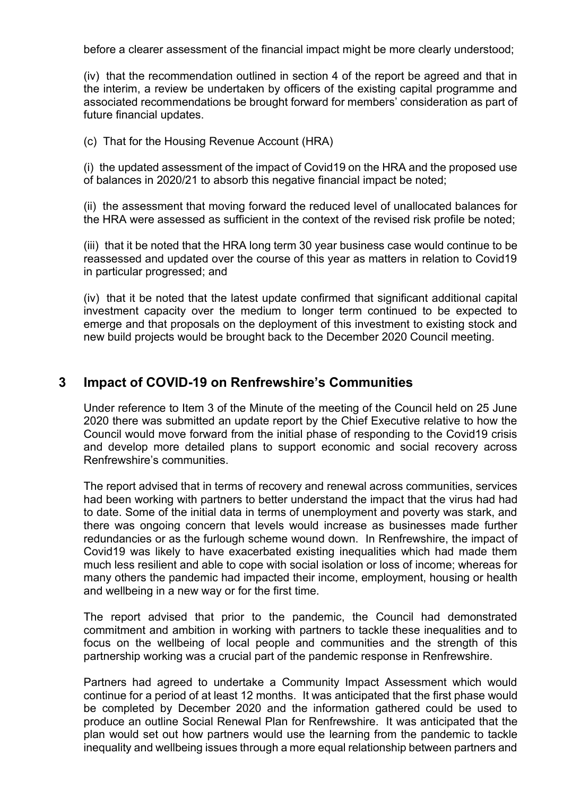before a clearer assessment of the financial impact might be more clearly understood;

(iv) that the recommendation outlined in section 4 of the report be agreed and that in the interim, a review be undertaken by officers of the existing capital programme and associated recommendations be brought forward for members' consideration as part of future financial updates.

(c) That for the Housing Revenue Account (HRA)

(i) the updated assessment of the impact of Covid19 on the HRA and the proposed use of balances in 2020/21 to absorb this negative financial impact be noted;

(ii) the assessment that moving forward the reduced level of unallocated balances for the HRA were assessed as sufficient in the context of the revised risk profile be noted;

(iii) that it be noted that the HRA long term 30 year business case would continue to be reassessed and updated over the course of this year as matters in relation to Covid19 in particular progressed; and

(iv) that it be noted that the latest update confirmed that significant additional capital investment capacity over the medium to longer term continued to be expected to emerge and that proposals on the deployment of this investment to existing stock and new build projects would be brought back to the December 2020 Council meeting.

### **3 Impact of COVID-19 on Renfrewshire's Communities**

Under reference to Item 3 of the Minute of the meeting of the Council held on 25 June 2020 there was submitted an update report by the Chief Executive relative to how the Council would move forward from the initial phase of responding to the Covid19 crisis and develop more detailed plans to support economic and social recovery across Renfrewshire's communities.

The report advised that in terms of recovery and renewal across communities, services had been working with partners to better understand the impact that the virus had had to date. Some of the initial data in terms of unemployment and poverty was stark, and there was ongoing concern that levels would increase as businesses made further redundancies or as the furlough scheme wound down. In Renfrewshire, the impact of Covid19 was likely to have exacerbated existing inequalities which had made them much less resilient and able to cope with social isolation or loss of income; whereas for many others the pandemic had impacted their income, employment, housing or health and wellbeing in a new way or for the first time.

The report advised that prior to the pandemic, the Council had demonstrated commitment and ambition in working with partners to tackle these inequalities and to focus on the wellbeing of local people and communities and the strength of this partnership working was a crucial part of the pandemic response in Renfrewshire.

Partners had agreed to undertake a Community Impact Assessment which would continue for a period of at least 12 months. It was anticipated that the first phase would be completed by December 2020 and the information gathered could be used to produce an outline Social Renewal Plan for Renfrewshire. It was anticipated that the plan would set out how partners would use the learning from the pandemic to tackle inequality and wellbeing issues through a more equal relationship between partners and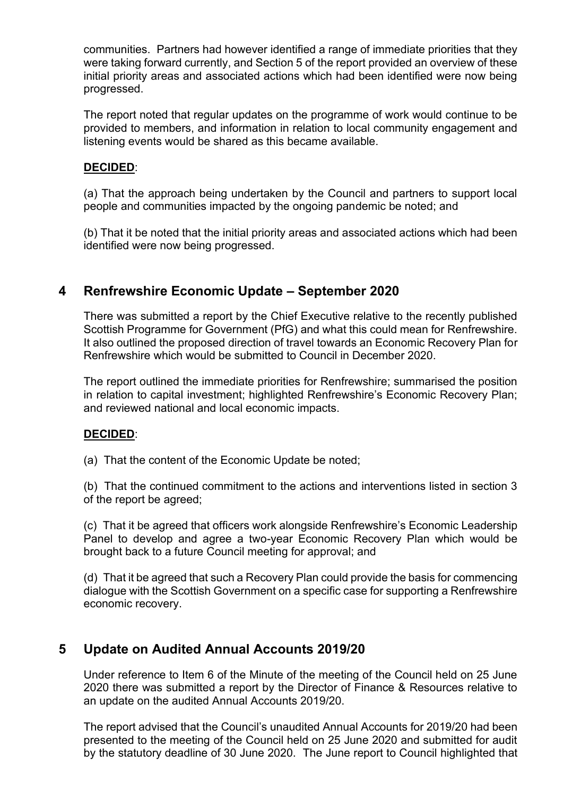communities. Partners had however identified a range of immediate priorities that they were taking forward currently, and Section 5 of the report provided an overview of these initial priority areas and associated actions which had been identified were now being progressed.

The report noted that regular updates on the programme of work would continue to be provided to members, and information in relation to local community engagement and listening events would be shared as this became available.

### **DECIDED**:

(a) That the approach being undertaken by the Council and partners to support local people and communities impacted by the ongoing pandemic be noted; and

(b) That it be noted that the initial priority areas and associated actions which had been identified were now being progressed.

# **4 Renfrewshire Economic Update – September 2020**

There was submitted a report by the Chief Executive relative to the recently published Scottish Programme for Government (PfG) and what this could mean for Renfrewshire. It also outlined the proposed direction of travel towards an Economic Recovery Plan for Renfrewshire which would be submitted to Council in December 2020.

The report outlined the immediate priorities for Renfrewshire; summarised the position in relation to capital investment; highlighted Renfrewshire's Economic Recovery Plan; and reviewed national and local economic impacts.

### **DECIDED**:

(a) That the content of the Economic Update be noted;

(b) That the continued commitment to the actions and interventions listed in section 3 of the report be agreed;

(c) That it be agreed that officers work alongside Renfrewshire's Economic Leadership Panel to develop and agree a two-year Economic Recovery Plan which would be brought back to a future Council meeting for approval; and

(d) That it be agreed that such a Recovery Plan could provide the basis for commencing dialogue with the Scottish Government on a specific case for supporting a Renfrewshire economic recovery.

### **5 Update on Audited Annual Accounts 2019/20**

Under reference to Item 6 of the Minute of the meeting of the Council held on 25 June 2020 there was submitted a report by the Director of Finance & Resources relative to an update on the audited Annual Accounts 2019/20.

The report advised that the Council's unaudited Annual Accounts for 2019/20 had been presented to the meeting of the Council held on 25 June 2020 and submitted for audit by the statutory deadline of 30 June 2020. The June report to Council highlighted that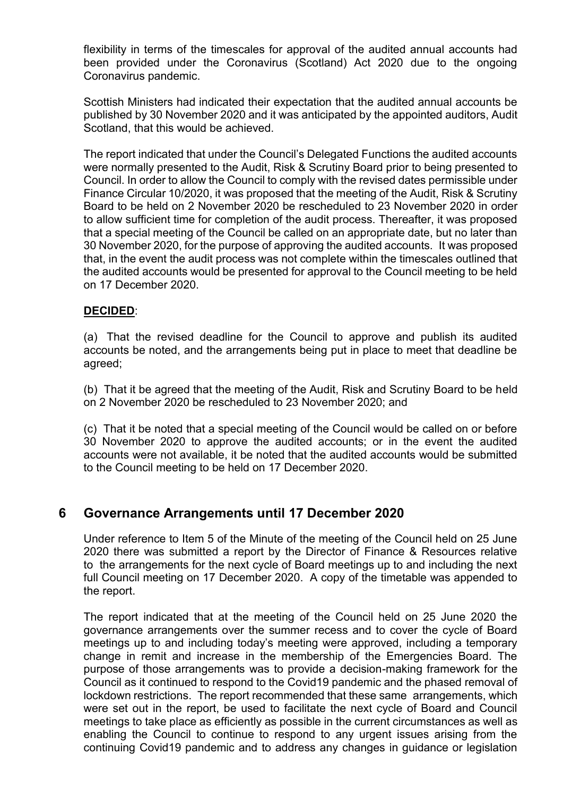flexibility in terms of the timescales for approval of the audited annual accounts had been provided under the Coronavirus (Scotland) Act 2020 due to the ongoing Coronavirus pandemic.

Scottish Ministers had indicated their expectation that the audited annual accounts be published by 30 November 2020 and it was anticipated by the appointed auditors, Audit Scotland, that this would be achieved.

The report indicated that under the Council's Delegated Functions the audited accounts were normally presented to the Audit, Risk & Scrutiny Board prior to being presented to Council. In order to allow the Council to comply with the revised dates permissible under Finance Circular 10/2020, it was proposed that the meeting of the Audit, Risk & Scrutiny Board to be held on 2 November 2020 be rescheduled to 23 November 2020 in order to allow sufficient time for completion of the audit process. Thereafter, it was proposed that a special meeting of the Council be called on an appropriate date, but no later than 30 November 2020, for the purpose of approving the audited accounts. It was proposed that, in the event the audit process was not complete within the timescales outlined that the audited accounts would be presented for approval to the Council meeting to be held on 17 December 2020.

### **DECIDED**:

(a) That the revised deadline for the Council to approve and publish its audited accounts be noted, and the arrangements being put in place to meet that deadline be agreed;

(b) That it be agreed that the meeting of the Audit, Risk and Scrutiny Board to be held on 2 November 2020 be rescheduled to 23 November 2020; and

(c) That it be noted that a special meeting of the Council would be called on or before 30 November 2020 to approve the audited accounts; or in the event the audited accounts were not available, it be noted that the audited accounts would be submitted to the Council meeting to be held on 17 December 2020.

### **6 Governance Arrangements until 17 December 2020**

Under reference to Item 5 of the Minute of the meeting of the Council held on 25 June 2020 there was submitted a report by the Director of Finance & Resources relative to the arrangements for the next cycle of Board meetings up to and including the next full Council meeting on 17 December 2020. A copy of the timetable was appended to the report.

The report indicated that at the meeting of the Council held on 25 June 2020 the governance arrangements over the summer recess and to cover the cycle of Board meetings up to and including today's meeting were approved, including a temporary change in remit and increase in the membership of the Emergencies Board. The purpose of those arrangements was to provide a decision-making framework for the Council as it continued to respond to the Covid19 pandemic and the phased removal of lockdown restrictions. The report recommended that these same arrangements, which were set out in the report, be used to facilitate the next cycle of Board and Council meetings to take place as efficiently as possible in the current circumstances as well as enabling the Council to continue to respond to any urgent issues arising from the continuing Covid19 pandemic and to address any changes in guidance or legislation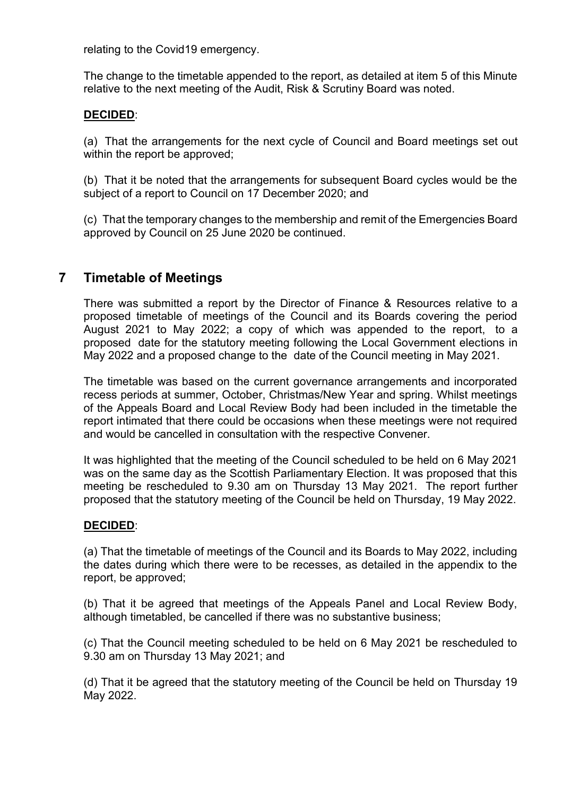relating to the Covid19 emergency.

The change to the timetable appended to the report, as detailed at item 5 of this Minute relative to the next meeting of the Audit, Risk & Scrutiny Board was noted.

### **DECIDED**:

(a) That the arrangements for the next cycle of Council and Board meetings set out within the report be approved;

(b) That it be noted that the arrangements for subsequent Board cycles would be the subject of a report to Council on 17 December 2020; and

(c) That the temporary changes to the membership and remit of the Emergencies Board approved by Council on 25 June 2020 be continued.

# **7 Timetable of Meetings**

There was submitted a report by the Director of Finance & Resources relative to a proposed timetable of meetings of the Council and its Boards covering the period August 2021 to May 2022; a copy of which was appended to the report, to a proposed date for the statutory meeting following the Local Government elections in May 2022 and a proposed change to the date of the Council meeting in May 2021.

The timetable was based on the current governance arrangements and incorporated recess periods at summer, October, Christmas/New Year and spring. Whilst meetings of the Appeals Board and Local Review Body had been included in the timetable the report intimated that there could be occasions when these meetings were not required and would be cancelled in consultation with the respective Convener.

It was highlighted that the meeting of the Council scheduled to be held on 6 May 2021 was on the same day as the Scottish Parliamentary Election. It was proposed that this meeting be rescheduled to 9.30 am on Thursday 13 May 2021. The report further proposed that the statutory meeting of the Council be held on Thursday, 19 May 2022.

### **DECIDED**:

(a) That the timetable of meetings of the Council and its Boards to May 2022, including the dates during which there were to be recesses, as detailed in the appendix to the report, be approved;

(b) That it be agreed that meetings of the Appeals Panel and Local Review Body, although timetabled, be cancelled if there was no substantive business;

(c) That the Council meeting scheduled to be held on 6 May 2021 be rescheduled to 9.30 am on Thursday 13 May 2021; and

(d) That it be agreed that the statutory meeting of the Council be held on Thursday 19 May 2022.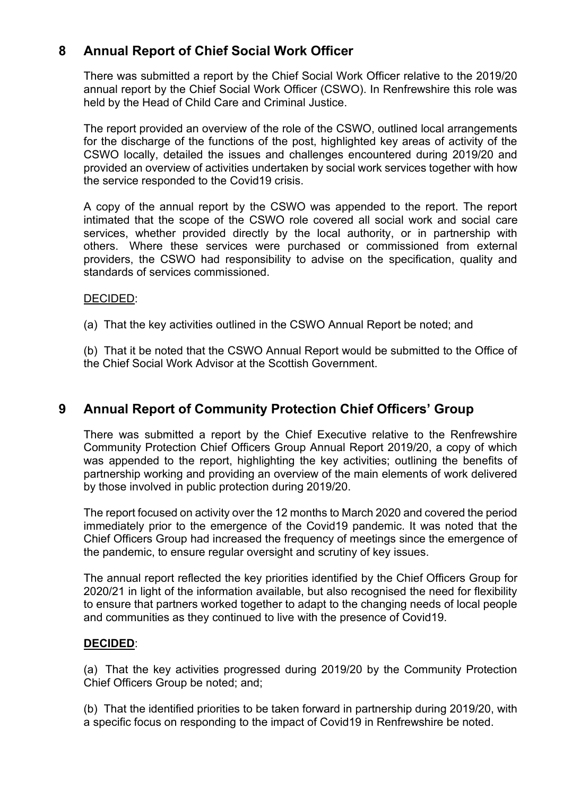# **8 Annual Report of Chief Social Work Officer**

There was submitted a report by the Chief Social Work Officer relative to the 2019/20 annual report by the Chief Social Work Officer (CSWO). In Renfrewshire this role was held by the Head of Child Care and Criminal Justice.

The report provided an overview of the role of the CSWO, outlined local arrangements for the discharge of the functions of the post, highlighted key areas of activity of the CSWO locally, detailed the issues and challenges encountered during 2019/20 and provided an overview of activities undertaken by social work services together with how the service responded to the Covid19 crisis.

A copy of the annual report by the CSWO was appended to the report. The report intimated that the scope of the CSWO role covered all social work and social care services, whether provided directly by the local authority, or in partnership with others. Where these services were purchased or commissioned from external providers, the CSWO had responsibility to advise on the specification, quality and standards of services commissioned.

### DECIDED:

- (a) That the key activities outlined in the CSWO Annual Report be noted; and
- (b) That it be noted that the CSWO Annual Report would be submitted to the Office of the Chief Social Work Advisor at the Scottish Government.

# **9 Annual Report of Community Protection Chief Officers' Group**

There was submitted a report by the Chief Executive relative to the Renfrewshire Community Protection Chief Officers Group Annual Report 2019/20, a copy of which was appended to the report, highlighting the key activities; outlining the benefits of partnership working and providing an overview of the main elements of work delivered by those involved in public protection during 2019/20.

The report focused on activity over the 12 months to March 2020 and covered the period immediately prior to the emergence of the Covid19 pandemic. It was noted that the Chief Officers Group had increased the frequency of meetings since the emergence of the pandemic, to ensure regular oversight and scrutiny of key issues.

The annual report reflected the key priorities identified by the Chief Officers Group for 2020/21 in light of the information available, but also recognised the need for flexibility to ensure that partners worked together to adapt to the changing needs of local people and communities as they continued to live with the presence of Covid19.

### **DECIDED**:

(a) That the key activities progressed during 2019/20 by the Community Protection Chief Officers Group be noted; and;

(b) That the identified priorities to be taken forward in partnership during 2019/20, with a specific focus on responding to the impact of Covid19 in Renfrewshire be noted.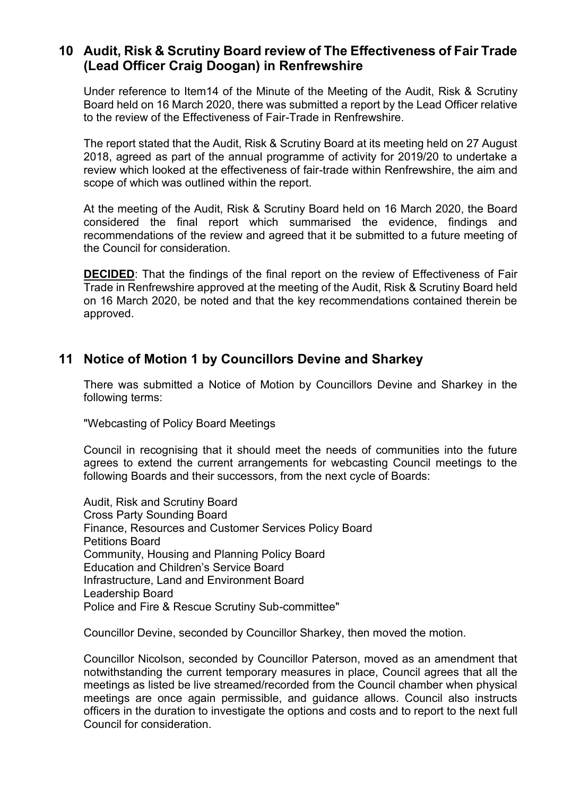### **10 Audit, Risk & Scrutiny Board review of The Effectiveness of Fair Trade (Lead Officer Craig Doogan) in Renfrewshire**

Under reference to Item14 of the Minute of the Meeting of the Audit, Risk & Scrutiny Board held on 16 March 2020, there was submitted a report by the Lead Officer relative to the review of the Effectiveness of Fair-Trade in Renfrewshire.

The report stated that the Audit, Risk & Scrutiny Board at its meeting held on 27 August 2018, agreed as part of the annual programme of activity for 2019/20 to undertake a review which looked at the effectiveness of fair-trade within Renfrewshire, the aim and scope of which was outlined within the report.

At the meeting of the Audit, Risk & Scrutiny Board held on 16 March 2020, the Board considered the final report which summarised the evidence, findings and recommendations of the review and agreed that it be submitted to a future meeting of the Council for consideration.

**DECIDED:** That the findings of the final report on the review of Effectiveness of Fair Trade in Renfrewshire approved at the meeting of the Audit, Risk & Scrutiny Board held on 16 March 2020, be noted and that the key recommendations contained therein be approved.

# **11 Notice of Motion 1 by Councillors Devine and Sharkey**

There was submitted a Notice of Motion by Councillors Devine and Sharkey in the following terms:

"Webcasting of Policy Board Meetings

Council in recognising that it should meet the needs of communities into the future agrees to extend the current arrangements for webcasting Council meetings to the following Boards and their successors, from the next cycle of Boards:

Audit, Risk and Scrutiny Board Cross Party Sounding Board Finance, Resources and Customer Services Policy Board Petitions Board Community, Housing and Planning Policy Board Education and Children's Service Board Infrastructure, Land and Environment Board Leadership Board Police and Fire & Rescue Scrutiny Sub-committee"

Councillor Devine, seconded by Councillor Sharkey, then moved the motion.

Councillor Nicolson, seconded by Councillor Paterson, moved as an amendment that notwithstanding the current temporary measures in place, Council agrees that all the meetings as listed be live streamed/recorded from the Council chamber when physical meetings are once again permissible, and guidance allows. Council also instructs officers in the duration to investigate the options and costs and to report to the next full Council for consideration.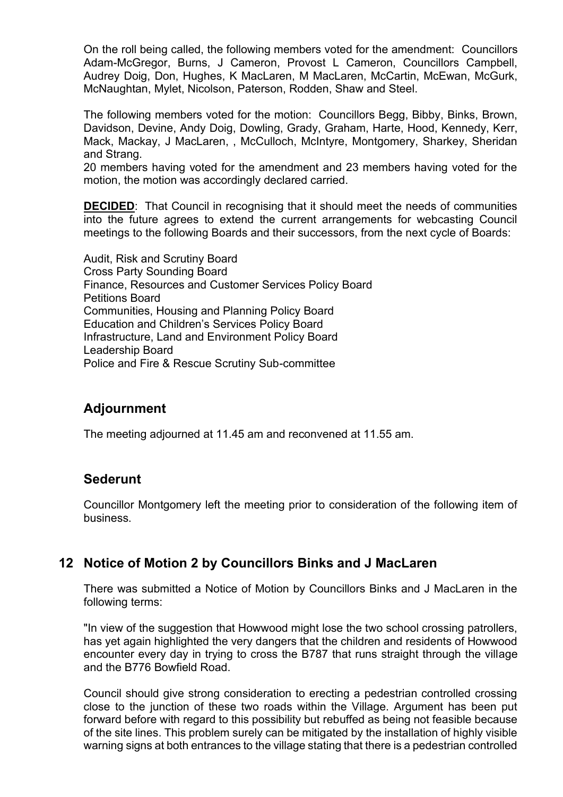On the roll being called, the following members voted for the amendment: Councillors Adam-McGregor, Burns, J Cameron, Provost L Cameron, Councillors Campbell, Audrey Doig, Don, Hughes, K MacLaren, M MacLaren, McCartin, McEwan, McGurk, McNaughtan, Mylet, Nicolson, Paterson, Rodden, Shaw and Steel.

The following members voted for the motion: Councillors Begg, Bibby, Binks, Brown, Davidson, Devine, Andy Doig, Dowling, Grady, Graham, Harte, Hood, Kennedy, Kerr, Mack, Mackay, J MacLaren, , McCulloch, McIntyre, Montgomery, Sharkey, Sheridan and Strang.

20 members having voted for the amendment and 23 members having voted for the motion, the motion was accordingly declared carried.

**DECIDED:** That Council in recognising that it should meet the needs of communities into the future agrees to extend the current arrangements for webcasting Council meetings to the following Boards and their successors, from the next cycle of Boards:

Audit, Risk and Scrutiny Board Cross Party Sounding Board Finance, Resources and Customer Services Policy Board Petitions Board Communities, Housing and Planning Policy Board Education and Children's Services Policy Board Infrastructure, Land and Environment Policy Board Leadership Board Police and Fire & Rescue Scrutiny Sub-committee

# **Adjournment**

The meeting adjourned at 11.45 am and reconvened at 11.55 am.

### **Sederunt**

Councillor Montgomery left the meeting prior to consideration of the following item of business.

### **12 Notice of Motion 2 by Councillors Binks and J MacLaren**

There was submitted a Notice of Motion by Councillors Binks and J MacLaren in the following terms:

"In view of the suggestion that Howwood might lose the two school crossing patrollers, has yet again highlighted the very dangers that the children and residents of Howwood encounter every day in trying to cross the B787 that runs straight through the village and the B776 Bowfield Road.

Council should give strong consideration to erecting a pedestrian controlled crossing close to the junction of these two roads within the Village. Argument has been put forward before with regard to this possibility but rebuffed as being not feasible because of the site lines. This problem surely can be mitigated by the installation of highly visible warning signs at both entrances to the village stating that there is a pedestrian controlled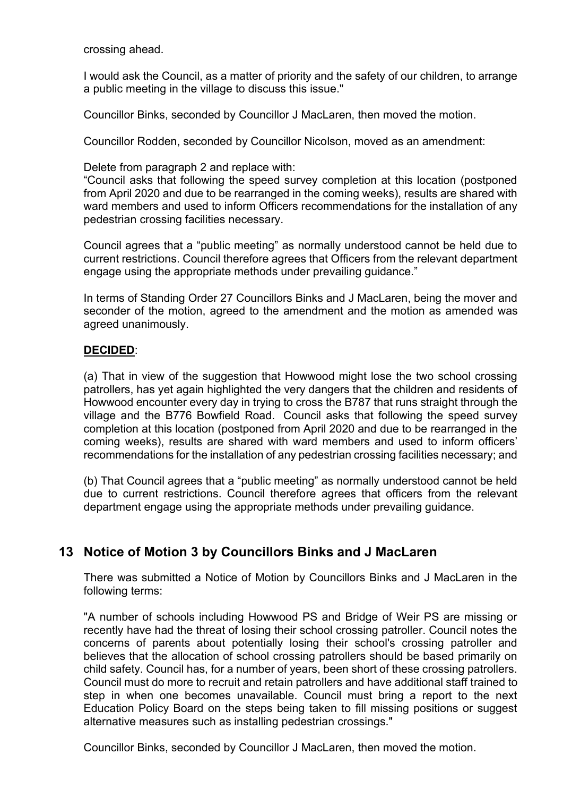crossing ahead.

I would ask the Council, as a matter of priority and the safety of our children, to arrange a public meeting in the village to discuss this issue."

Councillor Binks, seconded by Councillor J MacLaren, then moved the motion.

Councillor Rodden, seconded by Councillor Nicolson, moved as an amendment:

Delete from paragraph 2 and replace with:

"Council asks that following the speed survey completion at this location (postponed from April 2020 and due to be rearranged in the coming weeks), results are shared with ward members and used to inform Officers recommendations for the installation of any pedestrian crossing facilities necessary.

Council agrees that a "public meeting" as normally understood cannot be held due to current restrictions. Council therefore agrees that Officers from the relevant department engage using the appropriate methods under prevailing guidance."

In terms of Standing Order 27 Councillors Binks and J MacLaren, being the mover and seconder of the motion, agreed to the amendment and the motion as amended was agreed unanimously.

#### **DECIDED**:

(a) That in view of the suggestion that Howwood might lose the two school crossing patrollers, has yet again highlighted the very dangers that the children and residents of Howwood encounter every day in trying to cross the B787 that runs straight through the village and the B776 Bowfield Road. Council asks that following the speed survey completion at this location (postponed from April 2020 and due to be rearranged in the coming weeks), results are shared with ward members and used to inform officers' recommendations for the installation of any pedestrian crossing facilities necessary; and

(b) That Council agrees that a "public meeting" as normally understood cannot be held due to current restrictions. Council therefore agrees that officers from the relevant department engage using the appropriate methods under prevailing guidance.

# **13 Notice of Motion 3 by Councillors Binks and J MacLaren**

There was submitted a Notice of Motion by Councillors Binks and J MacLaren in the following terms:

"A number of schools including Howwood PS and Bridge of Weir PS are missing or recently have had the threat of losing their school crossing patroller. Council notes the concerns of parents about potentially losing their school's crossing patroller and believes that the allocation of school crossing patrollers should be based primarily on child safety. Council has, for a number of years, been short of these crossing patrollers. Council must do more to recruit and retain patrollers and have additional staff trained to step in when one becomes unavailable. Council must bring a report to the next Education Policy Board on the steps being taken to fill missing positions or suggest alternative measures such as installing pedestrian crossings."

Councillor Binks, seconded by Councillor J MacLaren, then moved the motion.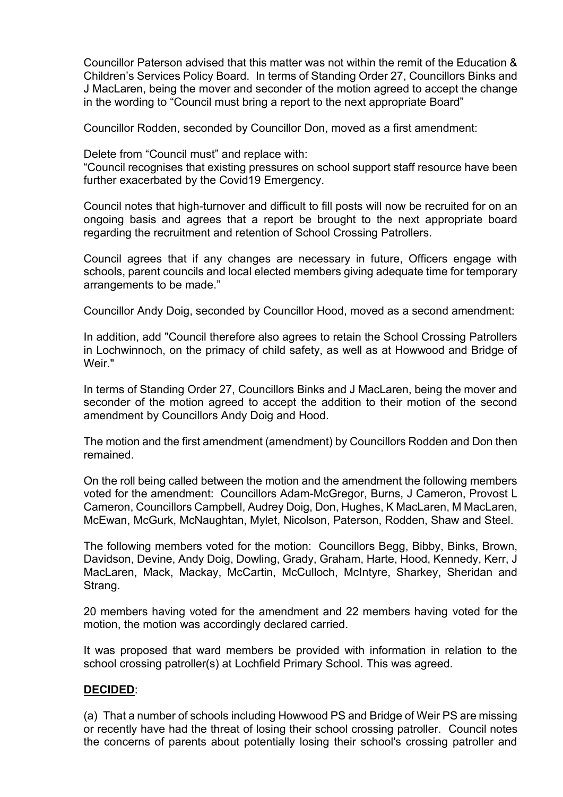Councillor Paterson advised that this matter was not within the remit of the Education & Children's Services Policy Board. In terms of Standing Order 27, Councillors Binks and J MacLaren, being the mover and seconder of the motion agreed to accept the change in the wording to "Council must bring a report to the next appropriate Board"

Councillor Rodden, seconded by Councillor Don, moved as a first amendment:

Delete from "Council must" and replace with:

"Council recognises that existing pressures on school support staff resource have been further exacerbated by the Covid19 Emergency.

Council notes that high-turnover and difficult to fill posts will now be recruited for on an ongoing basis and agrees that a report be brought to the next appropriate board regarding the recruitment and retention of School Crossing Patrollers.

Council agrees that if any changes are necessary in future, Officers engage with schools, parent councils and local elected members giving adequate time for temporary arrangements to be made."

Councillor Andy Doig, seconded by Councillor Hood, moved as a second amendment:

In addition, add "Council therefore also agrees to retain the School Crossing Patrollers in Lochwinnoch, on the primacy of child safety, as well as at Howwood and Bridge of Weir."

In terms of Standing Order 27, Councillors Binks and J MacLaren, being the mover and seconder of the motion agreed to accept the addition to their motion of the second amendment by Councillors Andy Doig and Hood.

The motion and the first amendment (amendment) by Councillors Rodden and Don then remained.

On the roll being called between the motion and the amendment the following members voted for the amendment: Councillors Adam-McGregor, Burns, J Cameron, Provost L Cameron, Councillors Campbell, Audrey Doig, Don, Hughes, K MacLaren, M MacLaren, McEwan, McGurk, McNaughtan, Mylet, Nicolson, Paterson, Rodden, Shaw and Steel.

The following members voted for the motion: Councillors Begg, Bibby, Binks, Brown, Davidson, Devine, Andy Doig, Dowling, Grady, Graham, Harte, Hood, Kennedy, Kerr, J MacLaren, Mack, Mackay, McCartin, McCulloch, McIntyre, Sharkey, Sheridan and Strang.

20 members having voted for the amendment and 22 members having voted for the motion, the motion was accordingly declared carried.

It was proposed that ward members be provided with information in relation to the school crossing patroller(s) at Lochfield Primary School. This was agreed.

#### **DECIDED**:

(a) That a number of schools including Howwood PS and Bridge of Weir PS are missing or recently have had the threat of losing their school crossing patroller. Council notes the concerns of parents about potentially losing their school's crossing patroller and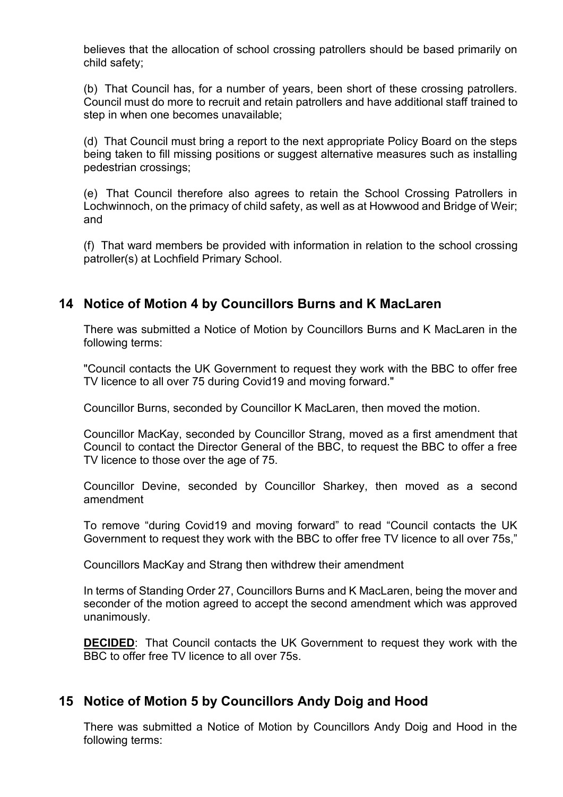believes that the allocation of school crossing patrollers should be based primarily on child safety;

(b) That Council has, for a number of years, been short of these crossing patrollers. Council must do more to recruit and retain patrollers and have additional staff trained to step in when one becomes unavailable;

(d) That Council must bring a report to the next appropriate Policy Board on the steps being taken to fill missing positions or suggest alternative measures such as installing pedestrian crossings;

(e) That Council therefore also agrees to retain the School Crossing Patrollers in Lochwinnoch, on the primacy of child safety, as well as at Howwood and Bridge of Weir; and

(f) That ward members be provided with information in relation to the school crossing patroller(s) at Lochfield Primary School.

# **14 Notice of Motion 4 by Councillors Burns and K MacLaren**

There was submitted a Notice of Motion by Councillors Burns and K MacLaren in the following terms:

"Council contacts the UK Government to request they work with the BBC to offer free TV licence to all over 75 during Covid19 and moving forward."

Councillor Burns, seconded by Councillor K MacLaren, then moved the motion.

Councillor MacKay, seconded by Councillor Strang, moved as a first amendment that Council to contact the Director General of the BBC, to request the BBC to offer a free TV licence to those over the age of 75.

Councillor Devine, seconded by Councillor Sharkey, then moved as a second amendment

To remove "during Covid19 and moving forward" to read "Council contacts the UK Government to request they work with the BBC to offer free TV licence to all over 75s,"

Councillors MacKay and Strang then withdrew their amendment

In terms of Standing Order 27, Councillors Burns and K MacLaren, being the mover and seconder of the motion agreed to accept the second amendment which was approved unanimously.

**DECIDED**: That Council contacts the UK Government to request they work with the BBC to offer free TV licence to all over 75s.

### **15 Notice of Motion 5 by Councillors Andy Doig and Hood**

There was submitted a Notice of Motion by Councillors Andy Doig and Hood in the following terms: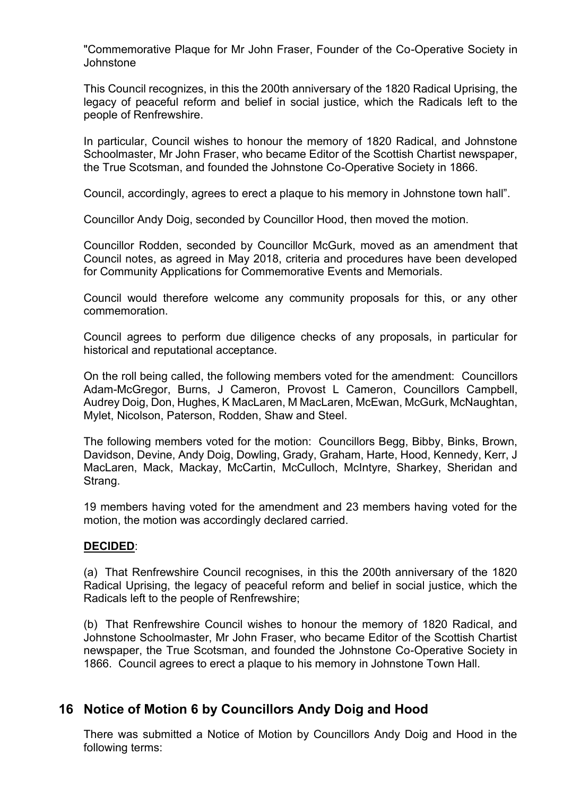"Commemorative Plaque for Mr John Fraser, Founder of the Co-Operative Society in Johnstone

This Council recognizes, in this the 200th anniversary of the 1820 Radical Uprising, the legacy of peaceful reform and belief in social justice, which the Radicals left to the people of Renfrewshire.

In particular, Council wishes to honour the memory of 1820 Radical, and Johnstone Schoolmaster, Mr John Fraser, who became Editor of the Scottish Chartist newspaper, the True Scotsman, and founded the Johnstone Co-Operative Society in 1866.

Council, accordingly, agrees to erect a plaque to his memory in Johnstone town hall".

Councillor Andy Doig, seconded by Councillor Hood, then moved the motion.

Councillor Rodden, seconded by Councillor McGurk, moved as an amendment that Council notes, as agreed in May 2018, criteria and procedures have been developed for Community Applications for Commemorative Events and Memorials.

Council would therefore welcome any community proposals for this, or any other commemoration.

Council agrees to perform due diligence checks of any proposals, in particular for historical and reputational acceptance.

On the roll being called, the following members voted for the amendment: Councillors Adam-McGregor, Burns, J Cameron, Provost L Cameron, Councillors Campbell, Audrey Doig, Don, Hughes, K MacLaren, M MacLaren, McEwan, McGurk, McNaughtan, Mylet, Nicolson, Paterson, Rodden, Shaw and Steel.

The following members voted for the motion: Councillors Begg, Bibby, Binks, Brown, Davidson, Devine, Andy Doig, Dowling, Grady, Graham, Harte, Hood, Kennedy, Kerr, J MacLaren, Mack, Mackay, McCartin, McCulloch, McIntyre, Sharkey, Sheridan and Strang.

19 members having voted for the amendment and 23 members having voted for the motion, the motion was accordingly declared carried.

### **DECIDED**:

(a) That Renfrewshire Council recognises, in this the 200th anniversary of the 1820 Radical Uprising, the legacy of peaceful reform and belief in social justice, which the Radicals left to the people of Renfrewshire;

(b) That Renfrewshire Council wishes to honour the memory of 1820 Radical, and Johnstone Schoolmaster, Mr John Fraser, who became Editor of the Scottish Chartist newspaper, the True Scotsman, and founded the Johnstone Co-Operative Society in 1866. Council agrees to erect a plaque to his memory in Johnstone Town Hall.

### **16 Notice of Motion 6 by Councillors Andy Doig and Hood**

There was submitted a Notice of Motion by Councillors Andy Doig and Hood in the following terms: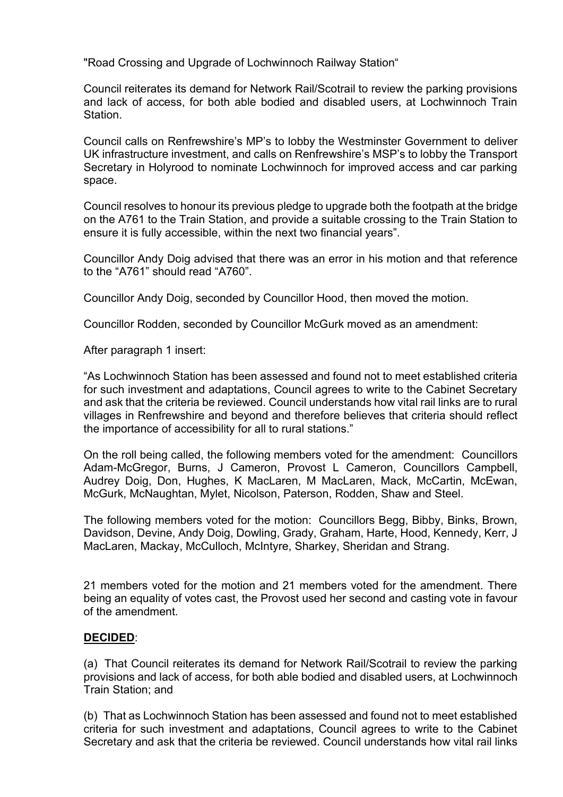"Road Crossing and Upgrade of Lochwinnoch Railway Station"

Council reiterates its demand for Network Rail/Scotrail to review the parking provisions and lack of access, for both able bodied and disabled users, at Lochwinnoch Train Station.

Council calls on Renfrewshire's MP's to lobby the Westminster Government to deliver UK infrastructure investment, and calls on Renfrewshire's MSP's to lobby the Transport Secretary in Holyrood to nominate Lochwinnoch for improved access and car parking space.

Council resolves to honour its previous pledge to upgrade both the footpath at the bridge on the A761 to the Train Station, and provide a suitable crossing to the Train Station to ensure it is fully accessible, within the next two financial years".

Councillor Andy Doig advised that there was an error in his motion and that reference to the "A761" should read "A760".

Councillor Andy Doig, seconded by Councillor Hood, then moved the motion.

Councillor Rodden, seconded by Councillor McGurk moved as an amendment:

After paragraph 1 insert:

"As Lochwinnoch Station has been assessed and found not to meet established criteria for such investment and adaptations, Council agrees to write to the Cabinet Secretary and ask that the criteria be reviewed. Council understands how vital rail links are to rural villages in Renfrewshire and beyond and therefore believes that criteria should reflect the importance of accessibility for all to rural stations."

On the roll being called, the following members voted for the amendment: Councillors Adam-McGregor, Burns, J Cameron, Provost L Cameron, Councillors Campbell, Audrey Doig, Don, Hughes, K MacLaren, M MacLaren, Mack, McCartin, McEwan, McGurk, McNaughtan, Mylet, Nicolson, Paterson, Rodden, Shaw and Steel.

The following members voted for the motion: Councillors Begg, Bibby, Binks, Brown, Davidson, Devine, Andy Doig, Dowling, Grady, Graham, Harte, Hood, Kennedy, Kerr, J MacLaren, Mackay, McCulloch, McIntyre, Sharkey, Sheridan and Strang.

21 members voted for the motion and 21 members voted for the amendment. There being an equality of votes cast, the Provost used her second and casting vote in favour of the amendment.

### **DECIDED**:

(a) That Council reiterates its demand for Network Rail/Scotrail to review the parking provisions and lack of access, for both able bodied and disabled users, at Lochwinnoch Train Station; and

(b) That as Lochwinnoch Station has been assessed and found not to meet established criteria for such investment and adaptations, Council agrees to write to the Cabinet Secretary and ask that the criteria be reviewed. Council understands how vital rail links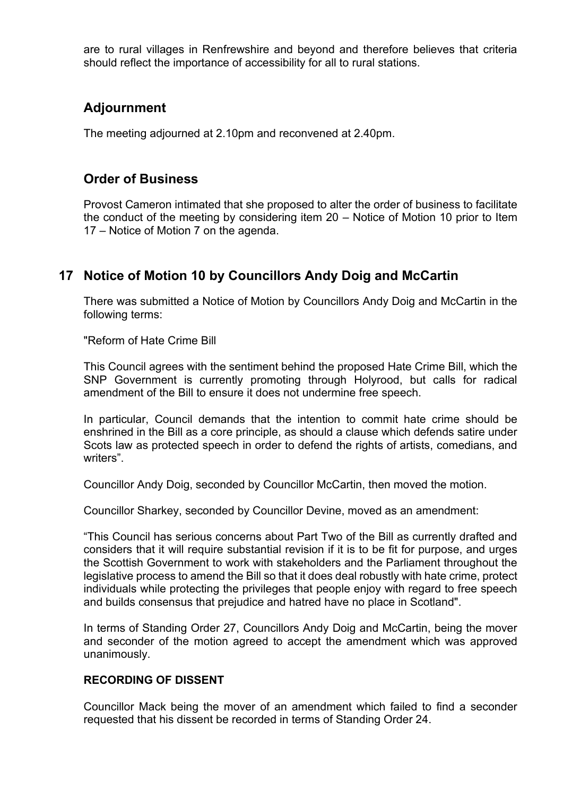are to rural villages in Renfrewshire and beyond and therefore believes that criteria should reflect the importance of accessibility for all to rural stations.

# **Adjournment**

The meeting adjourned at 2.10pm and reconvened at 2.40pm.

### **Order of Business**

Provost Cameron intimated that she proposed to alter the order of business to facilitate the conduct of the meeting by considering item 20 – Notice of Motion 10 prior to Item 17 – Notice of Motion 7 on the agenda.

# **17 Notice of Motion 10 by Councillors Andy Doig and McCartin**

There was submitted a Notice of Motion by Councillors Andy Doig and McCartin in the following terms:

"Reform of Hate Crime Bill

This Council agrees with the sentiment behind the proposed Hate Crime Bill, which the SNP Government is currently promoting through Holyrood, but calls for radical amendment of the Bill to ensure it does not undermine free speech.

In particular, Council demands that the intention to commit hate crime should be enshrined in the Bill as a core principle, as should a clause which defends satire under Scots law as protected speech in order to defend the rights of artists, comedians, and writers".

Councillor Andy Doig, seconded by Councillor McCartin, then moved the motion.

Councillor Sharkey, seconded by Councillor Devine, moved as an amendment:

"This Council has serious concerns about Part Two of the Bill as currently drafted and considers that it will require substantial revision if it is to be fit for purpose, and urges the Scottish Government to work with stakeholders and the Parliament throughout the legislative process to amend the Bill so that it does deal robustly with hate crime, protect individuals while protecting the privileges that people enjoy with regard to free speech and builds consensus that prejudice and hatred have no place in Scotland".

In terms of Standing Order 27, Councillors Andy Doig and McCartin, being the mover and seconder of the motion agreed to accept the amendment which was approved unanimously.

### **RECORDING OF DISSENT**

Councillor Mack being the mover of an amendment which failed to find a seconder requested that his dissent be recorded in terms of Standing Order 24.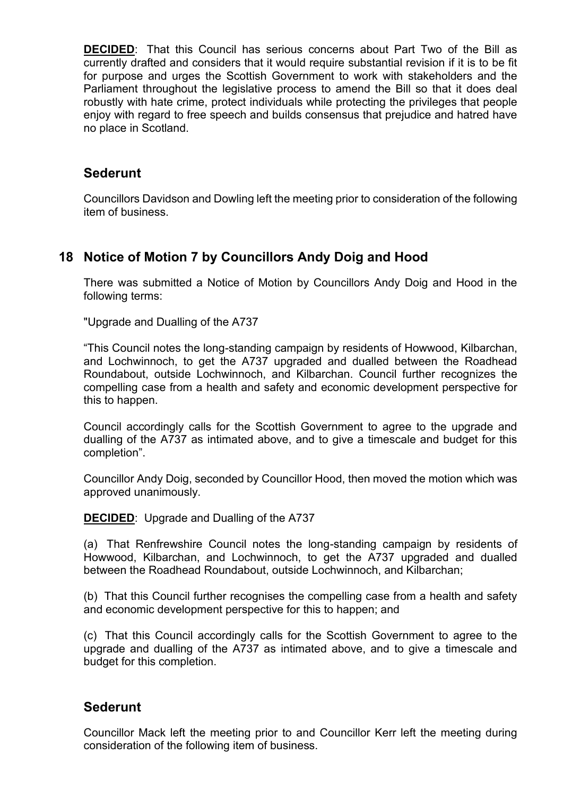**DECIDED**: That this Council has serious concerns about Part Two of the Bill as currently drafted and considers that it would require substantial revision if it is to be fit for purpose and urges the Scottish Government to work with stakeholders and the Parliament throughout the legislative process to amend the Bill so that it does deal robustly with hate crime, protect individuals while protecting the privileges that people enjoy with regard to free speech and builds consensus that prejudice and hatred have no place in Scotland.

### **Sederunt**

Councillors Davidson and Dowling left the meeting prior to consideration of the following item of business.

# **18 Notice of Motion 7 by Councillors Andy Doig and Hood**

There was submitted a Notice of Motion by Councillors Andy Doig and Hood in the following terms:

"Upgrade and Dualling of the A737

"This Council notes the long-standing campaign by residents of Howwood, Kilbarchan, and Lochwinnoch, to get the A737 upgraded and dualled between the Roadhead Roundabout, outside Lochwinnoch, and Kilbarchan. Council further recognizes the compelling case from a health and safety and economic development perspective for this to happen.

Council accordingly calls for the Scottish Government to agree to the upgrade and dualling of the A737 as intimated above, and to give a timescale and budget for this completion".

Councillor Andy Doig, seconded by Councillor Hood, then moved the motion which was approved unanimously.

**DECIDED**: Upgrade and Dualling of the A737

(a) That Renfrewshire Council notes the long-standing campaign by residents of Howwood, Kilbarchan, and Lochwinnoch, to get the A737 upgraded and dualled between the Roadhead Roundabout, outside Lochwinnoch, and Kilbarchan;

(b) That this Council further recognises the compelling case from a health and safety and economic development perspective for this to happen; and

(c) That this Council accordingly calls for the Scottish Government to agree to the upgrade and dualling of the A737 as intimated above, and to give a timescale and budget for this completion.

### **Sederunt**

Councillor Mack left the meeting prior to and Councillor Kerr left the meeting during consideration of the following item of business.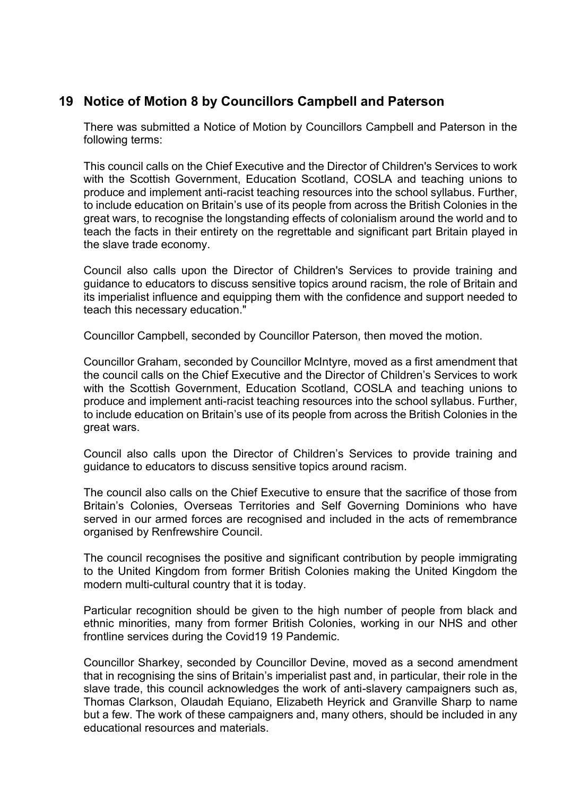# **19 Notice of Motion 8 by Councillors Campbell and Paterson**

There was submitted a Notice of Motion by Councillors Campbell and Paterson in the following terms:

This council calls on the Chief Executive and the Director of Children's Services to work with the Scottish Government, Education Scotland, COSLA and teaching unions to produce and implement anti-racist teaching resources into the school syllabus. Further, to include education on Britain's use of its people from across the British Colonies in the great wars, to recognise the longstanding effects of colonialism around the world and to teach the facts in their entirety on the regrettable and significant part Britain played in the slave trade economy.

Council also calls upon the Director of Children's Services to provide training and guidance to educators to discuss sensitive topics around racism, the role of Britain and its imperialist influence and equipping them with the confidence and support needed to teach this necessary education."

Councillor Campbell, seconded by Councillor Paterson, then moved the motion.

Councillor Graham, seconded by Councillor McIntyre, moved as a first amendment that the council calls on the Chief Executive and the Director of Children's Services to work with the Scottish Government, Education Scotland, COSLA and teaching unions to produce and implement anti-racist teaching resources into the school syllabus. Further, to include education on Britain's use of its people from across the British Colonies in the great wars.

Council also calls upon the Director of Children's Services to provide training and guidance to educators to discuss sensitive topics around racism.

The council also calls on the Chief Executive to ensure that the sacrifice of those from Britain's Colonies, Overseas Territories and Self Governing Dominions who have served in our armed forces are recognised and included in the acts of remembrance organised by Renfrewshire Council.

The council recognises the positive and significant contribution by people immigrating to the United Kingdom from former British Colonies making the United Kingdom the modern multi-cultural country that it is today.

Particular recognition should be given to the high number of people from black and ethnic minorities, many from former British Colonies, working in our NHS and other frontline services during the Covid19 19 Pandemic.

Councillor Sharkey, seconded by Councillor Devine, moved as a second amendment that in recognising the sins of Britain's imperialist past and, in particular, their role in the slave trade, this council acknowledges the work of anti-slavery campaigners such as, Thomas Clarkson, Olaudah Equiano, Elizabeth Heyrick and Granville Sharp to name but a few. The work of these campaigners and, many others, should be included in any educational resources and materials.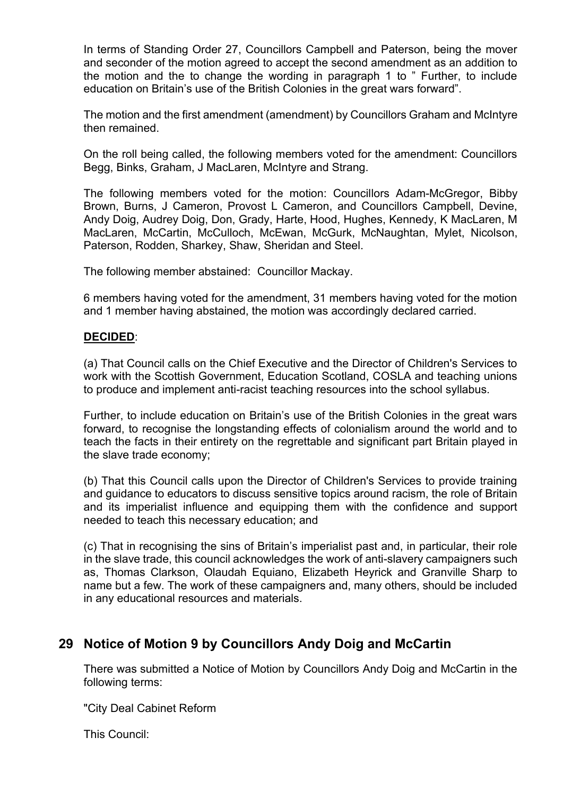In terms of Standing Order 27, Councillors Campbell and Paterson, being the mover and seconder of the motion agreed to accept the second amendment as an addition to the motion and the to change the wording in paragraph 1 to " Further, to include education on Britain's use of the British Colonies in the great wars forward".

The motion and the first amendment (amendment) by Councillors Graham and McIntyre then remained.

On the roll being called, the following members voted for the amendment: Councillors Begg, Binks, Graham, J MacLaren, McIntyre and Strang.

The following members voted for the motion: Councillors Adam-McGregor, Bibby Brown, Burns, J Cameron, Provost L Cameron, and Councillors Campbell, Devine, Andy Doig, Audrey Doig, Don, Grady, Harte, Hood, Hughes, Kennedy, K MacLaren, M MacLaren, McCartin, McCulloch, McEwan, McGurk, McNaughtan, Mylet, Nicolson, Paterson, Rodden, Sharkey, Shaw, Sheridan and Steel.

The following member abstained: Councillor Mackay.

6 members having voted for the amendment, 31 members having voted for the motion and 1 member having abstained, the motion was accordingly declared carried.

### **DECIDED**:

(a) That Council calls on the Chief Executive and the Director of Children's Services to work with the Scottish Government, Education Scotland, COSLA and teaching unions to produce and implement anti-racist teaching resources into the school syllabus.

Further, to include education on Britain's use of the British Colonies in the great wars forward, to recognise the longstanding effects of colonialism around the world and to teach the facts in their entirety on the regrettable and significant part Britain played in the slave trade economy;

(b) That this Council calls upon the Director of Children's Services to provide training and guidance to educators to discuss sensitive topics around racism, the role of Britain and its imperialist influence and equipping them with the confidence and support needed to teach this necessary education; and

(c) That in recognising the sins of Britain's imperialist past and, in particular, their role in the slave trade, this council acknowledges the work of anti-slavery campaigners such as, Thomas Clarkson, Olaudah Equiano, Elizabeth Heyrick and Granville Sharp to name but a few. The work of these campaigners and, many others, should be included in any educational resources and materials.

# **29 Notice of Motion 9 by Councillors Andy Doig and McCartin**

There was submitted a Notice of Motion by Councillors Andy Doig and McCartin in the following terms:

"City Deal Cabinet Reform

This Council: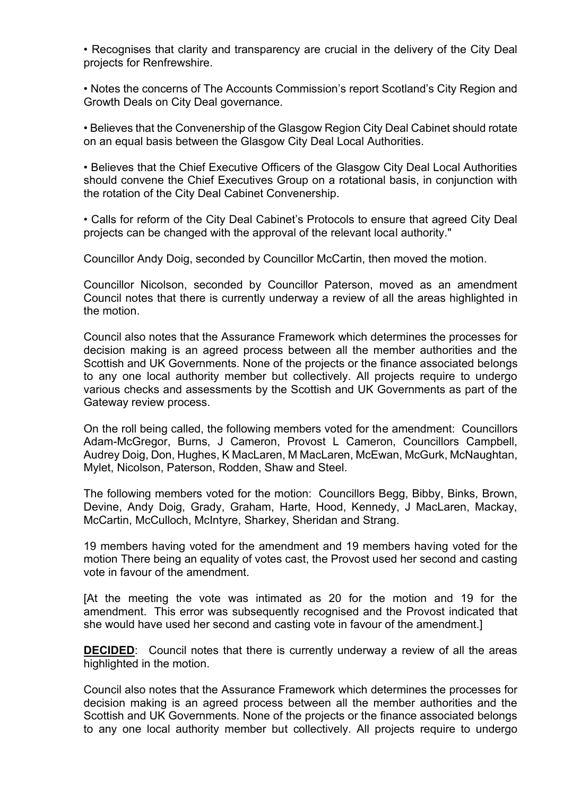• Recognises that clarity and transparency are crucial in the delivery of the City Deal projects for Renfrewshire.

• Notes the concerns of The Accounts Commission's report Scotland's City Region and Growth Deals on City Deal governance.

• Believes that the Convenership of the Glasgow Region City Deal Cabinet should rotate on an equal basis between the Glasgow City Deal Local Authorities.

• Believes that the Chief Executive Officers of the Glasgow City Deal Local Authorities should convene the Chief Executives Group on a rotational basis, in conjunction with the rotation of the City Deal Cabinet Convenership.

• Calls for reform of the City Deal Cabinet's Protocols to ensure that agreed City Deal projects can be changed with the approval of the relevant local authority."

Councillor Andy Doig, seconded by Councillor McCartin, then moved the motion.

Councillor Nicolson, seconded by Councillor Paterson, moved as an amendment Council notes that there is currently underway a review of all the areas highlighted in the motion.

Council also notes that the Assurance Framework which determines the processes for decision making is an agreed process between all the member authorities and the Scottish and UK Governments. None of the projects or the finance associated belongs to any one local authority member but collectively. All projects require to undergo various checks and assessments by the Scottish and UK Governments as part of the Gateway review process.

On the roll being called, the following members voted for the amendment: Councillors Adam-McGregor, Burns, J Cameron, Provost L Cameron, Councillors Campbell, Audrey Doig, Don, Hughes, K MacLaren, M MacLaren, McEwan, McGurk, McNaughtan, Mylet, Nicolson, Paterson, Rodden, Shaw and Steel.

The following members voted for the motion: Councillors Begg, Bibby, Binks, Brown, Devine, Andy Doig, Grady, Graham, Harte, Hood, Kennedy, J MacLaren, Mackay, McCartin, McCulloch, McIntyre, Sharkey, Sheridan and Strang.

19 members having voted for the amendment and 19 members having voted for the motion There being an equality of votes cast, the Provost used her second and casting vote in favour of the amendment.

[At the meeting the vote was intimated as 20 for the motion and 19 for the amendment. This error was subsequently recognised and the Provost indicated that she would have used her second and casting vote in favour of the amendment.]

**DECIDED**: Council notes that there is currently underway a review of all the areas highlighted in the motion.

Council also notes that the Assurance Framework which determines the processes for decision making is an agreed process between all the member authorities and the Scottish and UK Governments. None of the projects or the finance associated belongs to any one local authority member but collectively. All projects require to undergo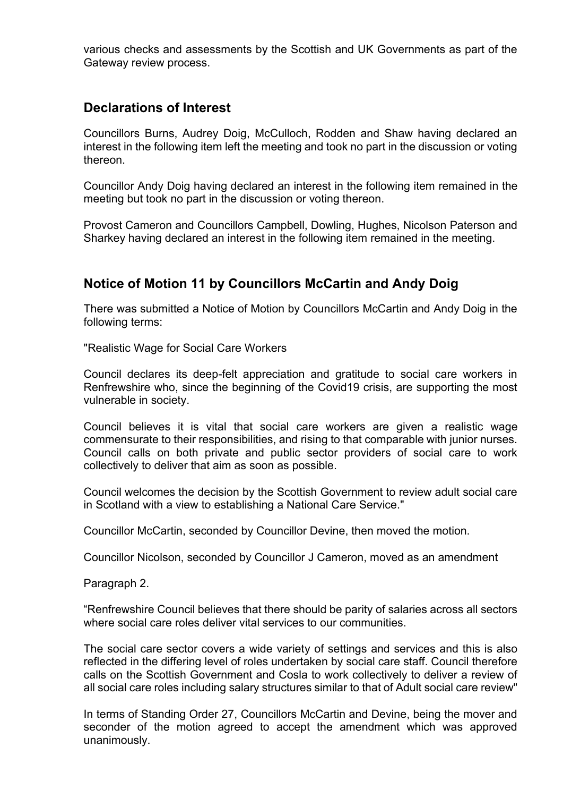various checks and assessments by the Scottish and UK Governments as part of the Gateway review process.

### **Declarations of Interest**

Councillors Burns, Audrey Doig, McCulloch, Rodden and Shaw having declared an interest in the following item left the meeting and took no part in the discussion or voting thereon.

Councillor Andy Doig having declared an interest in the following item remained in the meeting but took no part in the discussion or voting thereon.

Provost Cameron and Councillors Campbell, Dowling, Hughes, Nicolson Paterson and Sharkey having declared an interest in the following item remained in the meeting.

# **Notice of Motion 11 by Councillors McCartin and Andy Doig**

There was submitted a Notice of Motion by Councillors McCartin and Andy Doig in the following terms:

"Realistic Wage for Social Care Workers

Council declares its deep-felt appreciation and gratitude to social care workers in Renfrewshire who, since the beginning of the Covid19 crisis, are supporting the most vulnerable in society.

Council believes it is vital that social care workers are given a realistic wage commensurate to their responsibilities, and rising to that comparable with junior nurses. Council calls on both private and public sector providers of social care to work collectively to deliver that aim as soon as possible.

Council welcomes the decision by the Scottish Government to review adult social care in Scotland with a view to establishing a National Care Service."

Councillor McCartin, seconded by Councillor Devine, then moved the motion.

Councillor Nicolson, seconded by Councillor J Cameron, moved as an amendment

Paragraph 2.

"Renfrewshire Council believes that there should be parity of salaries across all sectors where social care roles deliver vital services to our communities.

The social care sector covers a wide variety of settings and services and this is also reflected in the differing level of roles undertaken by social care staff. Council therefore calls on the Scottish Government and Cosla to work collectively to deliver a review of all social care roles including salary structures similar to that of Adult social care review"

In terms of Standing Order 27, Councillors McCartin and Devine, being the mover and seconder of the motion agreed to accept the amendment which was approved unanimously.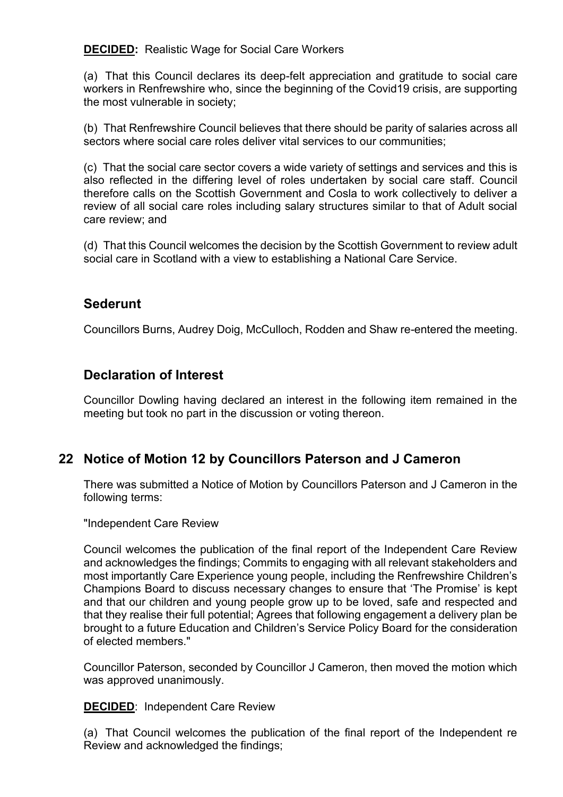**DECIDED:** Realistic Wage for Social Care Workers

(a) That this Council declares its deep-felt appreciation and gratitude to social care workers in Renfrewshire who, since the beginning of the Covid19 crisis, are supporting the most vulnerable in society;

(b) That Renfrewshire Council believes that there should be parity of salaries across all sectors where social care roles deliver vital services to our communities;

(c) That the social care sector covers a wide variety of settings and services and this is also reflected in the differing level of roles undertaken by social care staff. Council therefore calls on the Scottish Government and Cosla to work collectively to deliver a review of all social care roles including salary structures similar to that of Adult social care review; and

(d) That this Council welcomes the decision by the Scottish Government to review adult social care in Scotland with a view to establishing a National Care Service.

### **Sederunt**

Councillors Burns, Audrey Doig, McCulloch, Rodden and Shaw re-entered the meeting.

# **Declaration of Interest**

Councillor Dowling having declared an interest in the following item remained in the meeting but took no part in the discussion or voting thereon.

### **22 Notice of Motion 12 by Councillors Paterson and J Cameron**

There was submitted a Notice of Motion by Councillors Paterson and J Cameron in the following terms:

"Independent Care Review

Council welcomes the publication of the final report of the Independent Care Review and acknowledges the findings; Commits to engaging with all relevant stakeholders and most importantly Care Experience young people, including the Renfrewshire Children's Champions Board to discuss necessary changes to ensure that 'The Promise' is kept and that our children and young people grow up to be loved, safe and respected and that they realise their full potential; Agrees that following engagement a delivery plan be brought to a future Education and Children's Service Policy Board for the consideration of elected members."

Councillor Paterson, seconded by Councillor J Cameron, then moved the motion which was approved unanimously.

### **DECIDED**: Independent Care Review

(a) That Council welcomes the publication of the final report of the Independent re Review and acknowledged the findings;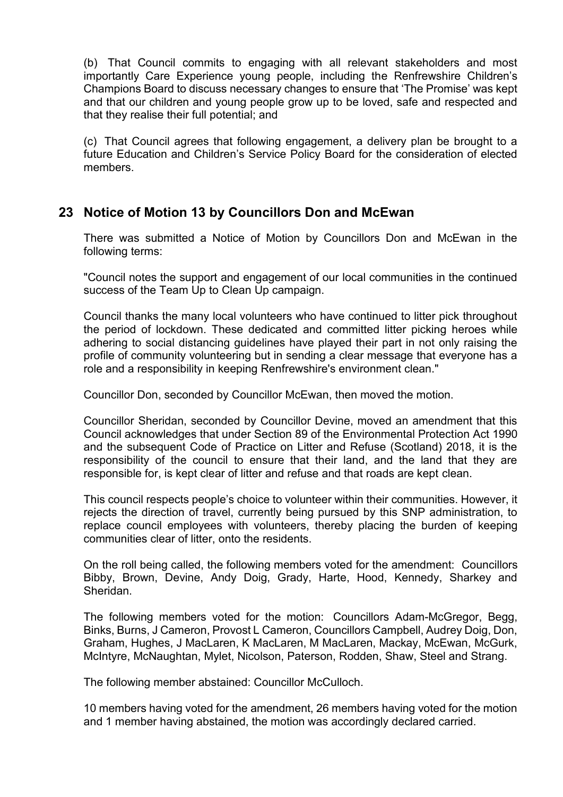(b) That Council commits to engaging with all relevant stakeholders and most importantly Care Experience young people, including the Renfrewshire Children's Champions Board to discuss necessary changes to ensure that 'The Promise' was kept and that our children and young people grow up to be loved, safe and respected and that they realise their full potential; and

(c) That Council agrees that following engagement, a delivery plan be brought to a future Education and Children's Service Policy Board for the consideration of elected members.

### **23 Notice of Motion 13 by Councillors Don and McEwan**

There was submitted a Notice of Motion by Councillors Don and McEwan in the following terms:

"Council notes the support and engagement of our local communities in the continued success of the Team Up to Clean Up campaign.

Council thanks the many local volunteers who have continued to litter pick throughout the period of lockdown. These dedicated and committed litter picking heroes while adhering to social distancing guidelines have played their part in not only raising the profile of community volunteering but in sending a clear message that everyone has a role and a responsibility in keeping Renfrewshire's environment clean."

Councillor Don, seconded by Councillor McEwan, then moved the motion.

Councillor Sheridan, seconded by Councillor Devine, moved an amendment that this Council acknowledges that under Section 89 of the Environmental Protection Act 1990 and the subsequent Code of Practice on Litter and Refuse (Scotland) 2018, it is the responsibility of the council to ensure that their land, and the land that they are responsible for, is kept clear of litter and refuse and that roads are kept clean.

This council respects people's choice to volunteer within their communities. However, it rejects the direction of travel, currently being pursued by this SNP administration, to replace council employees with volunteers, thereby placing the burden of keeping communities clear of litter, onto the residents.

On the roll being called, the following members voted for the amendment: Councillors Bibby, Brown, Devine, Andy Doig, Grady, Harte, Hood, Kennedy, Sharkey and Sheridan.

The following members voted for the motion: Councillors Adam-McGregor, Begg, Binks, Burns, J Cameron, Provost L Cameron, Councillors Campbell, Audrey Doig, Don, Graham, Hughes, J MacLaren, K MacLaren, M MacLaren, Mackay, McEwan, McGurk, McIntyre, McNaughtan, Mylet, Nicolson, Paterson, Rodden, Shaw, Steel and Strang.

The following member abstained: Councillor McCulloch.

10 members having voted for the amendment, 26 members having voted for the motion and 1 member having abstained, the motion was accordingly declared carried.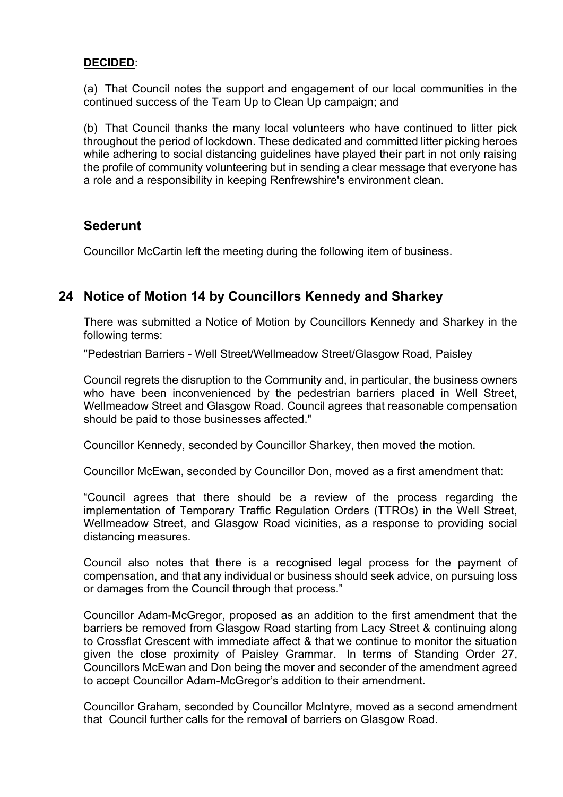### **DECIDED**:

(a) That Council notes the support and engagement of our local communities in the continued success of the Team Up to Clean Up campaign; and

(b) That Council thanks the many local volunteers who have continued to litter pick throughout the period of lockdown. These dedicated and committed litter picking heroes while adhering to social distancing guidelines have played their part in not only raising the profile of community volunteering but in sending a clear message that everyone has a role and a responsibility in keeping Renfrewshire's environment clean.

# **Sederunt**

Councillor McCartin left the meeting during the following item of business.

# **24 Notice of Motion 14 by Councillors Kennedy and Sharkey**

There was submitted a Notice of Motion by Councillors Kennedy and Sharkey in the following terms:

"Pedestrian Barriers - Well Street/Wellmeadow Street/Glasgow Road, Paisley

Council regrets the disruption to the Community and, in particular, the business owners who have been inconvenienced by the pedestrian barriers placed in Well Street, Wellmeadow Street and Glasgow Road. Council agrees that reasonable compensation should be paid to those businesses affected."

Councillor Kennedy, seconded by Councillor Sharkey, then moved the motion.

Councillor McEwan, seconded by Councillor Don, moved as a first amendment that:

"Council agrees that there should be a review of the process regarding the implementation of Temporary Traffic Regulation Orders (TTROs) in the Well Street, Wellmeadow Street, and Glasgow Road vicinities, as a response to providing social distancing measures.

Council also notes that there is a recognised legal process for the payment of compensation, and that any individual or business should seek advice, on pursuing loss or damages from the Council through that process."

Councillor Adam-McGregor, proposed as an addition to the first amendment that the barriers be removed from Glasgow Road starting from Lacy Street & continuing along to Crossflat Crescent with immediate affect & that we continue to monitor the situation given the close proximity of Paisley Grammar. In terms of Standing Order 27, Councillors McEwan and Don being the mover and seconder of the amendment agreed to accept Councillor Adam-McGregor's addition to their amendment.

Councillor Graham, seconded by Councillor McIntyre, moved as a second amendment that Council further calls for the removal of barriers on Glasgow Road.